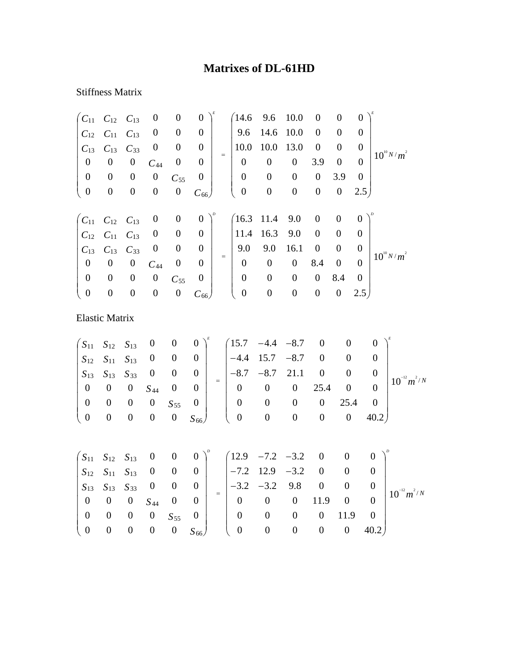## **Matrixes of DL-61HD**

## Stiffness Matrix

|                                                          | $C_{11}$ $C_{12}$ $C_{13}$ |                  | $\boldsymbol{0}$ | $\boldsymbol{0}$ | $\boldsymbol{0}$ |     | (14.6)           | 9.6              | 10.0             | $\overline{0}$   | $\overline{0}$   | $\Omega$       |                 |
|----------------------------------------------------------|----------------------------|------------------|------------------|------------------|------------------|-----|------------------|------------------|------------------|------------------|------------------|----------------|-----------------|
| $C_{12}$                                                 | $C_{11}$                   | $C_{13}$         | $\boldsymbol{0}$ | $\boldsymbol{0}$ | $\boldsymbol{0}$ |     | 9.6              | 14.6             | 10.0             | $\theta$         | $\theta$         | $\Omega$       |                 |
| $C_{13}$                                                 | $C_{13}$                   | $C_{33}$         | $\boldsymbol{0}$ | $\boldsymbol{0}$ | $\boldsymbol{0}$ |     | 10.0             | 10.0             | 13.0             | $\boldsymbol{0}$ | $\overline{0}$   | $\theta$       |                 |
| $\boldsymbol{0}$                                         | $\boldsymbol{0}$           | $\boldsymbol{0}$ | $C_{44}$         | $\boldsymbol{0}$ | $\boldsymbol{0}$ | $=$ | $\boldsymbol{0}$ | $\boldsymbol{0}$ | $\boldsymbol{0}$ | 3.9              | $\boldsymbol{0}$ | $\Omega$       | $10^{10} N/m^2$ |
| $\boldsymbol{0}$                                         | $\boldsymbol{0}$           | $\boldsymbol{0}$ | $\boldsymbol{0}$ | $C_{55}$         | $\boldsymbol{0}$ |     | $\boldsymbol{0}$ | $\boldsymbol{0}$ | $\boldsymbol{0}$ | $\boldsymbol{0}$ | 3.9              | $\overline{0}$ |                 |
| $\mathbf{0}$                                             | $\boldsymbol{0}$           | $\boldsymbol{0}$ | $\boldsymbol{0}$ | $\boldsymbol{0}$ | $C_{66}$         |     | $\boldsymbol{0}$ | $\boldsymbol{0}$ | $\boldsymbol{0}$ | $\boldsymbol{0}$ | $\boldsymbol{0}$ | 2.5            |                 |
|                                                          |                            |                  |                  |                  |                  |     |                  |                  |                  |                  |                  |                |                 |
| $\begin{pmatrix} C_{11} & C_{12} & C_{13} \end{pmatrix}$ |                            |                  | $\boldsymbol{0}$ | $\boldsymbol{0}$ | $\boldsymbol{0}$ |     | $(16.3 \t11.4$   |                  | 9.0              | $\boldsymbol{0}$ | $\overline{0}$   | $\overline{0}$ |                 |
| $C_{12}$                                                 | $C_{11}$                   | $C_{13}$         | $\boldsymbol{0}$ | $\boldsymbol{0}$ | $\boldsymbol{0}$ |     | 11.4             | 16.3             | 9.0              | $\overline{0}$   | $\theta$         | 0              |                 |
| $C_{13}$                                                 | $C_{13}$                   | $C_{33}$         | $\boldsymbol{0}$ | $\boldsymbol{0}$ | $\boldsymbol{0}$ |     | 9.0              | 9.0              | 16.1             | $\boldsymbol{0}$ | $\overline{0}$   | $\theta$       |                 |
| $\boldsymbol{0}$                                         | $\boldsymbol{0}$           | $\boldsymbol{0}$ | $C_{44}$         | $\boldsymbol{0}$ | $\boldsymbol{0}$ | $=$ | $\boldsymbol{0}$ | $\boldsymbol{0}$ | $\boldsymbol{0}$ | 8.4              | $\boldsymbol{0}$ | $\theta$       | $10^{10} N/m^2$ |
| $\boldsymbol{0}$                                         | $\boldsymbol{0}$           | $\boldsymbol{0}$ | $\boldsymbol{0}$ | $C_{55}$         | $\boldsymbol{0}$ |     | $\overline{0}$   | $\boldsymbol{0}$ | $\overline{0}$   | $\overline{0}$   | 8.4              | $\theta$       |                 |
| $\boldsymbol{0}$                                         | $\boldsymbol{0}$           | $\boldsymbol{0}$ | $\boldsymbol{0}$ | $\boldsymbol{0}$ | $C_{66}$         |     | $\boldsymbol{0}$ | $\boldsymbol{0}$ | $\boldsymbol{0}$ | $\boldsymbol{0}$ | $\boldsymbol{0}$ | 2.5            |                 |
|                                                          |                            |                  |                  |                  |                  |     |                  |                  |                  |                  |                  |                |                 |
| <b>Elastic Matrix</b>                                    |                            |                  |                  |                  |                  |     |                  |                  |                  |                  |                  |                |                 |

$$
\begin{pmatrix}\nS_{11} & S_{12} & S_{13} & 0 & 0 & 0 \\
S_{12} & S_{11} & S_{13} & 0 & 0 & 0 \\
S_{13} & S_{13} & S_{33} & 0 & 0 & 0 \\
0 & 0 & 0 & S_{44} & 0 & 0 \\
0 & 0 & 0 & 0 & S_{55} & 0 \\
0 & 0 & 0 & 0 & 0 & S_{66}\n\end{pmatrix} = \begin{pmatrix}\n15.7 & -4.4 & -8.7 & 0 & 0 & 0 \\
-4.4 & 15.7 & -8.7 & 0 & 0 & 0 \\
-8.7 & -8.7 & 21.1 & 0 & 0 & 0 \\
0 & 0 & 0 & 25.4 & 0 & 0 \\
0 & 0 & 0 & 0 & 25.4 & 0 \\
0 & 0 & 0 & 0 & 0 & 40.2\n\end{pmatrix} 10^{-12} m^2/N
$$

|  |  |  |                                                                                                                                                                                                                                                                                                                        | $\begin{pmatrix} S_{11} & S_{12} & S_{13} & 0 & 0 & 0 \end{pmatrix}^p$ $\begin{pmatrix} 12.9 & -7.2 & -3.2 & 0 & 0 & 0 \end{pmatrix}^p$                                                                                                        |  |             |  |                   |
|--|--|--|------------------------------------------------------------------------------------------------------------------------------------------------------------------------------------------------------------------------------------------------------------------------------------------------------------------------|------------------------------------------------------------------------------------------------------------------------------------------------------------------------------------------------------------------------------------------------|--|-------------|--|-------------------|
|  |  |  | $\begin{array}{ c c c c c c c c c } \hline S_{12} & S_{11} & S_{13} & 0 & 0 & 0 & -7.2 & 12.9 & -3.2 & 0 \ \hline \end{array}$<br>$\begin{vmatrix} S_{13} & S_{13} & S_{33} & 0 & 0 & 0 \ 0 & 0 & 0 & S_{44} & 0 & 0 \end{vmatrix}$ = $\begin{vmatrix} -3.2 & -3.2 & 9.8 & 0 & 0 \ 0 & 0 & 0 & 11.9 & 0 \end{vmatrix}$ |                                                                                                                                                                                                                                                |  |             |  | $ 10^{-12}m^2/N $ |
|  |  |  |                                                                                                                                                                                                                                                                                                                        |                                                                                                                                                                                                                                                |  |             |  |                   |
|  |  |  |                                                                                                                                                                                                                                                                                                                        |                                                                                                                                                                                                                                                |  |             |  |                   |
|  |  |  |                                                                                                                                                                                                                                                                                                                        |                                                                                                                                                                                                                                                |  | $11.9 \t 0$ |  |                   |
|  |  |  |                                                                                                                                                                                                                                                                                                                        | $\begin{array}{ c c c c c c c c c } \hline 0 & 0 & 0 & 0 & S_{55} & 0 \ \hline 0 & 0 & 0 & 0 & S_{66} \ \end{array} \hspace{1cm} \begin{array}{ c c c c c } \hline 0 & 0 & 0 \ \hline 0 & 0 & 0 \ \end{array}$<br>$0 S_{66}$ ( 0 0 0 0 0 40.2) |  |             |  |                   |